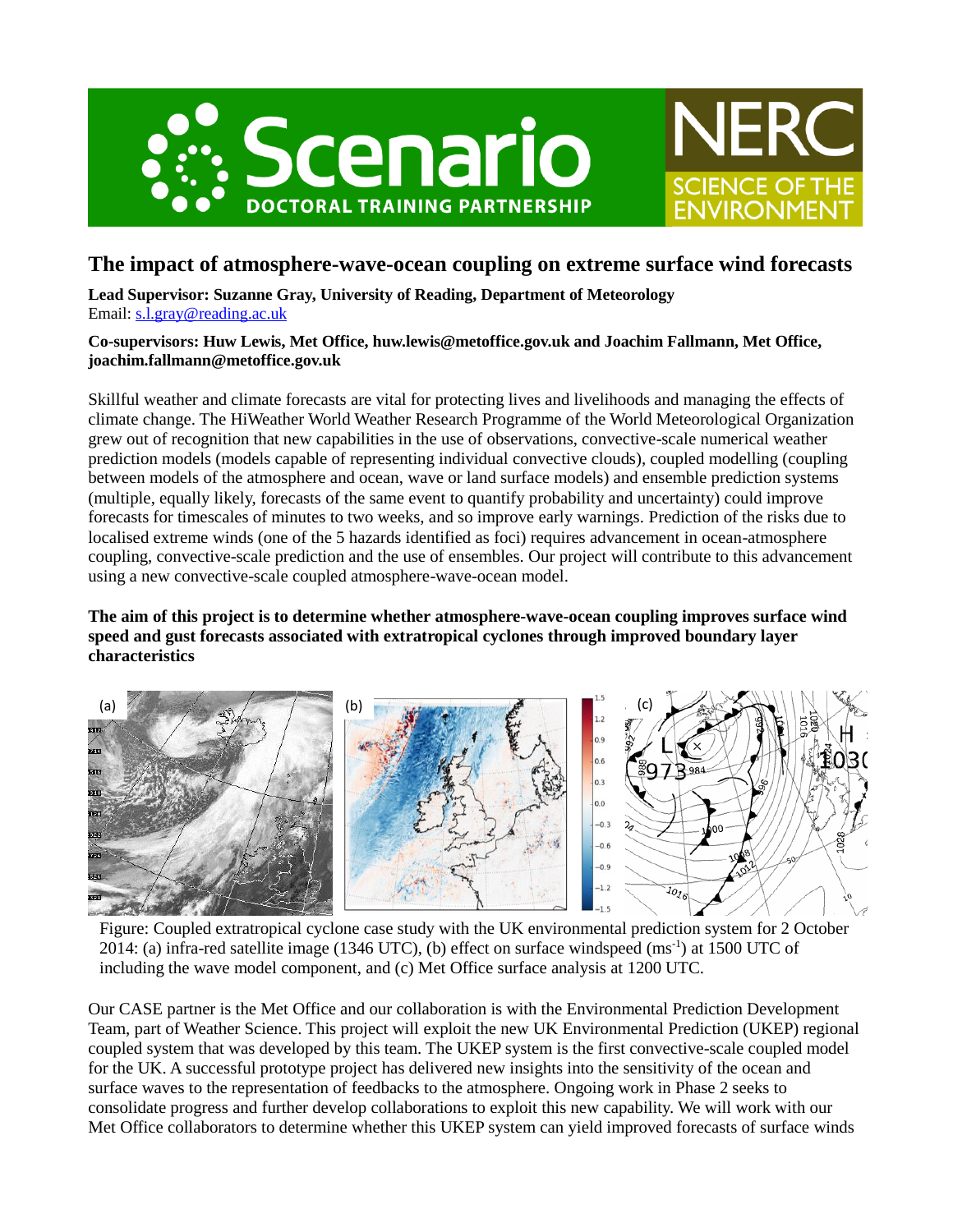



# **The impact of atmosphere-wave-ocean coupling on extreme surface wind forecasts**

**Lead Supervisor: Suzanne Gray, University of Reading, Department of Meteorology** Email: [s.l.gray@reading.ac.uk](mailto:s.l.gray@reading.ac.uk)

### **Co-supervisors: Huw Lewis, Met Office, huw.lewis@metoffice.gov.uk and Joachim Fallmann, Met Office, joachim.fallmann@metoffice.gov.uk**

Skillful weather and climate forecasts are vital for protecting lives and livelihoods and managing the effects of climate change. The HiWeather World Weather Research Programme of the World Meteorological Organization grew out of recognition that new capabilities in the use of observations, convective-scale numerical weather prediction models (models capable of representing individual convective clouds), coupled modelling (coupling between models of the atmosphere and ocean, wave or land surface models) and ensemble prediction systems (multiple, equally likely, forecasts of the same event to quantify probability and uncertainty) could improve forecasts for timescales of minutes to two weeks, and so improve early warnings. Prediction of the risks due to localised extreme winds (one of the 5 hazards identified as foci) requires advancement in ocean-atmosphere coupling, convective-scale prediction and the use of ensembles. Our project will contribute to this advancement using a new convective-scale coupled atmosphere-wave-ocean model.

## **The aim of this project is to determine whether atmosphere-wave-ocean coupling improves surface wind speed and gust forecasts associated with extratropical cyclones through improved boundary layer characteristics**



Figure: Coupled extratropical cyclone case study with the UK environmental prediction system for 2 October 2014: (a) infra-red satellite image (1346 UTC), (b) effect on surface windspeed (ms<sup>-1</sup>) at 1500 UTC of including the wave model component, and (c) Met Office surface analysis at 1200 UTC.

Our CASE partner is the Met Office and our collaboration is with the Environmental Prediction Development Team, part of Weather Science. This project will exploit the new UK Environmental Prediction (UKEP) regional coupled system that was developed by this team. The UKEP system is the first convective-scale coupled model for the UK. A successful prototype project has delivered new insights into the sensitivity of the ocean and surface waves to the representation of feedbacks to the atmosphere. Ongoing work in Phase 2 seeks to consolidate progress and further develop collaborations to exploit this new capability. We will work with our Met Office collaborators to determine whether this UKEP system can yield improved forecasts of surface winds